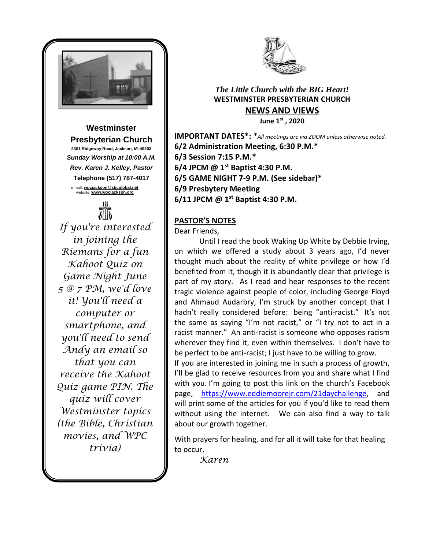

**Westminster Presbyterian Church 2301 Ridgeway Road, Jackson, MI 49203** *Sunday Worship at 10:00 A.M. Rev. Karen J. Kelley, Pastor* **Telephone (517) 787-4017** e-mail: **[wpcjackson@sbcglobal.net](mailto:wpcjackson@sbcglobal.net)** website: **www.wpcjackson.org**



*If you're interested in joining the Riemans for a fun Kahoot Quiz on Game Night June 5 @ 7 PM, we'd love it! You'll need a computer or smartphone, and you'll need to send Andy an email so that you can receive the Kahoot Quiz game PIN. The quiz will cover Westminster topics (the Bible, Christian movies, and WPC trivia)*



# *The Little Church with the BIG Heart!* **WESTMINSTER PRESBYTERIAN CHURCH NEWS AND VIEWS**

**June 1st , 2020**

**IMPORTANT DATES\*:** \**All meetings are via ZOOM unless otherwise noted.* **6/2 Administration Meeting, 6:30 P.M.\* 6/3 Session 7:15 P.M.\* 6/4 JPCM @ 1st Baptist 4:30 P.M. 6/5 GAME NIGHT 7-9 P.M. (See sidebar)\* 6/9 Presbytery Meeting 6/11 JPCM @ 1st Baptist 4:30 P.M.**

# **PASTOR'S NOTES**

Dear Friends,

Until I read the book Waking Up White by Debbie Irving, on which we offered a study about 3 years ago, I'd never thought much about the reality of white privilege or how I'd benefited from it, though it is abundantly clear that privilege is part of my story. As I read and hear responses to the recent tragic violence against people of color, including George Floyd and Ahmaud Audarbry, I'm struck by another concept that I hadn't really considered before: being "anti-racist." It's not the same as saying "I'm not racist," or "I try not to act in a racist manner." An anti-racist is someone who opposes racism wherever they find it, even within themselves. I don't have to be perfect to be anti-racist; I just have to be willing to grow.

If you are interested in joining me in such a process of growth, I'll be glad to receive resources from you and share what I find with you. I'm going to post this link on the church's Facebook page, [https://www.eddiemoorejr.com/21daychallenge,](https://www.eddiemoorejr.com/21daychallenge) and will print some of the articles for you if you'd like to read them without using the internet. We can also find a way to talk about our growth together.

With prayers for healing, and for all it will take for that healing to occur,

*Karen*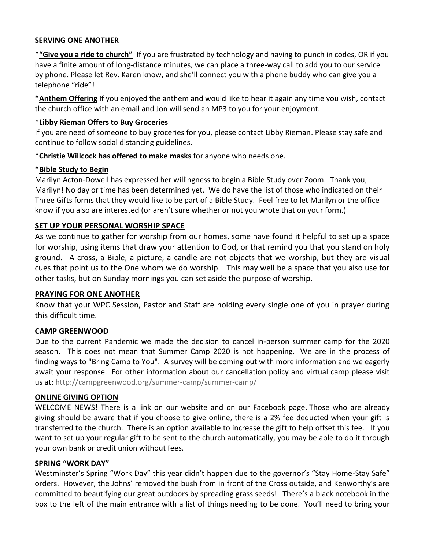#### **SERVING ONE ANOTHER**

\***"Give you a ride to church"** If you are frustrated by technology and having to punch in codes, OR if you have a finite amount of long-distance minutes, we can place a three-way call to add you to our service by phone. Please let Rev. Karen know, and she'll connect you with a phone buddy who can give you a telephone "ride"!

**\*Anthem Offering** If you enjoyed the anthem and would like to hear it again any time you wish, contact the church office with an email and Jon will send an MP3 to you for your enjoyment.

#### \***Libby Rieman Offers to Buy Groceries**

If you are need of someone to buy groceries for you, please contact Libby Rieman. Please stay safe and continue to follow social distancing guidelines.

### \***Christie Willcock has offered to make masks** for anyone who needs one.

### **\*Bible Study to Begin**

Marilyn Acton-Dowell has expressed her willingness to begin a Bible Study over Zoom. Thank you, Marilyn! No day or time has been determined yet. We do have the list of those who indicated on their Three Gifts forms that they would like to be part of a Bible Study. Feel free to let Marilyn or the office know if you also are interested (or aren't sure whether or not you wrote that on your form.)

### **SET UP YOUR PERSONAL WORSHIP SPACE**

As we continue to gather for worship from our homes, some have found it helpful to set up a space for worship, using items that draw your attention to God, or that remind you that you stand on holy ground. A cross, a Bible, a picture, a candle are not objects that we worship, but they are visual cues that point us to the One whom we do worship. This may well be a space that you also use for other tasks, but on Sunday mornings you can set aside the purpose of worship.

#### **PRAYING FOR ONE ANOTHER**

Know that your WPC Session, Pastor and Staff are holding every single one of you in prayer during this difficult time.

### **CAMP GREENWOOD**

Due to the current Pandemic we made the decision to cancel in-person summer camp for the 2020 season. This does not mean that Summer Camp 2020 is not happening. We are in the process of finding ways to "Bring Camp to You". A survey will be coming out with more information and we eagerly await your response. For other information about our cancellation policy and virtual camp please visit us at: [http://campgreenwood.org/summer-camp/summer-camp/](https://campgreenwood.us4.list-manage.com/track/click?u=fec26ecb409c276af03b6d3db&id=f5a0ad7a91&e=e207a75e22)

#### **ONLINE GIVING OPTION**

WELCOME NEWS! There is a link on our website and on our Facebook page. Those who are already giving should be aware that if you choose to give online, there is a 2% fee deducted when your gift is transferred to the church. There is an option available to increase the gift to help offset this fee. If you want to set up your regular gift to be sent to the church automatically, you may be able to do it through your own bank or credit union without fees.

#### **SPRING "WORK DAY"**

Westminster's Spring "Work Day" this year didn't happen due to the governor's "Stay Home-Stay Safe" orders. However, the Johns' removed the bush from in front of the Cross outside, and Kenworthy's are committed to beautifying our great outdoors by spreading grass seeds! There's a black notebook in the box to the left of the main entrance with a list of things needing to be done. You'll need to bring your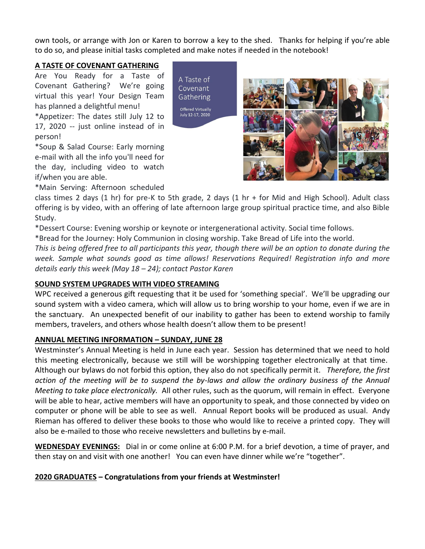own tools, or arrange with Jon or Karen to borrow a key to the shed. Thanks for helping if you're able to do so, and please initial tasks completed and make notes if needed in the notebook!

> A Taste of Covenant Gathering Offered Virtually July 12-17, 2020

#### **A TASTE OF COVENANT GATHERING**

Are You Ready for a Taste of Covenant Gathering? We're going virtual this year! Your Design Team has planned a delightful menu!

\*Appetizer: The dates still July 12 to 17, 2020 -- just online instead of in person!

\*Soup & Salad Course: Early morning e-mail with all the info you'll need for the day, including video to watch if/when you are able.

\*Main Serving: Afternoon scheduled



class times 2 days (1 hr) for pre-K to 5th grade, 2 days (1 hr + for Mid and High School). Adult class offering is by video, with an offering of late afternoon large group spiritual practice time, and also Bible Study.

\*Dessert Course: Evening worship or keynote or intergenerational activity. Social time follows.

\*Bread for the Journey: Holy Communion in closing worship. Take Bread of Life into the world.

*This is being offered free to all participants this year, though there will be an option to donate during the week. Sample what sounds good as time allows! Reservations Required! Registration info and more details early this week (May 18 – 24); contact Pastor Karen* 

### **SOUND SYSTEM UPGRADES WITH VIDEO STREAMING**

WPC received a generous gift requesting that it be used for 'something special'. We'll be upgrading our sound system with a video camera, which will allow us to bring worship to your home, even if we are in the sanctuary. An unexpected benefit of our inability to gather has been to extend worship to family members, travelers, and others whose health doesn't allow them to be present!

### **ANNUAL MEETING INFORMATION – SUNDAY, JUNE 28**

Westminster's Annual Meeting is held in June each year. Session has determined that we need to hold this meeting electronically, because we still will be worshipping together electronically at that time. Although our bylaws do not forbid this option, they also do not specifically permit it. *Therefore, the first action of the meeting will be to suspend the by-laws and allow the ordinary business of the Annual Meeting to take place electronically.* All other rules, such as the quorum, will remain in effect. Everyone will be able to hear, active members will have an opportunity to speak, and those connected by video on computer or phone will be able to see as well. Annual Report books will be produced as usual. Andy Rieman has offered to deliver these books to those who would like to receive a printed copy. They will also be e-mailed to those who receive newsletters and bulletins by e-mail.

**WEDNESDAY EVENINGS:** Dial in or come online at 6:00 P.M. for a brief devotion, a time of prayer, and then stay on and visit with one another! You can even have dinner while we're "together".

## **2020 GRADUATES – Congratulations from your friends at Westminster!**